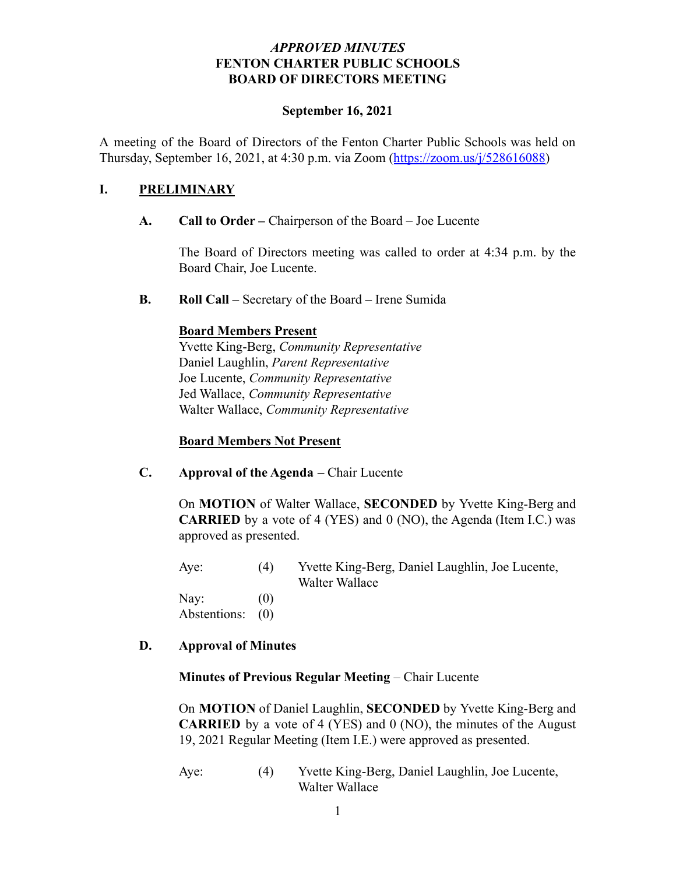### *APPROVED MINUTES* **FENTON CHARTER PUBLIC SCHOOLS BOARD OF DIRECTORS MEETING**

#### **September 16, 2021**

A meeting of the Board of Directors of the Fenton Charter Public Schools was held on Thursday, September 16, 2021, at 4:30 p.m. via Zoom (<https://zoom.us/j/528616088>)

### **I. PRELIMINARY**

#### **A. Call to Order –** Chairperson of the Board – Joe Lucente

The Board of Directors meeting was called to order at 4:34 p.m. by the Board Chair, Joe Lucente.

**B. Roll Call** – Secretary of the Board – Irene Sumida

#### **Board Members Present**

Yvette King-Berg, *Community Representative* Daniel Laughlin, *Parent Representative* Joe Lucente, *Community Representative* Jed Wallace, *Community Representative* Walter Wallace, *Community Representative*

#### **Board Members Not Present**

**C. Approval of the Agenda** – Chair Lucente

On **MOTION** of Walter Wallace, **SECONDED** by Yvette King-Berg and **CARRIED** by a vote of 4 (YES) and 0 (NO), the Agenda (Item I.C.) was approved as presented.

Aye: (4) Yvette King-Berg, Daniel Laughlin, Joe Lucente, Walter Wallace

Nav:  $(0)$ Abstentions: (0)

## **D. Approval of Minutes**

#### **Minutes of Previous Regular Meeting** – Chair Lucente

On **MOTION** of Daniel Laughlin, **SECONDED** by Yvette King-Berg and **CARRIED** by a vote of 4 (YES) and 0 (NO), the minutes of the August 19, 2021 Regular Meeting (Item I.E.) were approved as presented.

Aye: (4) Yvette King-Berg, Daniel Laughlin, Joe Lucente, Walter Wallace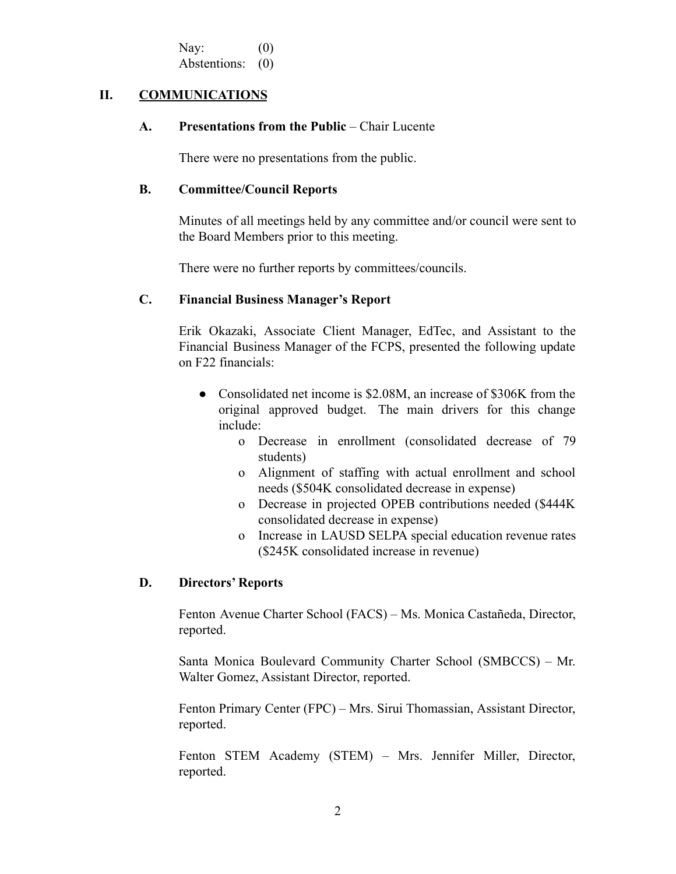Nav:  $(0)$ Abstentions: (0)

#### **II. COMMUNICATIONS**

#### **A. Presentations from the Public** – Chair Lucente

There were no presentations from the public.

#### **B. Committee/Council Reports**

Minutes of all meetings held by any committee and/or council were sent to the Board Members prior to this meeting.

There were no further reports by committees/councils.

#### **C. Financial Business Manager's Report**

Erik Okazaki, Associate Client Manager, EdTec, and Assistant to the Financial Business Manager of the FCPS, presented the following update on F22 financials:

- Consolidated net income is \$2.08M, an increase of \$306K from the original approved budget. The main drivers for this change include:
	- o Decrease in enrollment (consolidated decrease of 79 students)
	- o Alignment of staffing with actual enrollment and school needs (\$504K consolidated decrease in expense)
	- o Decrease in projected OPEB contributions needed (\$444K consolidated decrease in expense)
	- o Increase in LAUSD SELPA special education revenue rates (\$245K consolidated increase in revenue)

#### **D. Directors' Reports**

Fenton Avenue Charter School (FACS) – Ms. Monica Castañeda, Director, reported.

Santa Monica Boulevard Community Charter School (SMBCCS) – Mr. Walter Gomez, Assistant Director, reported.

Fenton Primary Center (FPC) – Mrs. Sirui Thomassian, Assistant Director, reported.

Fenton STEM Academy (STEM) – Mrs. Jennifer Miller, Director, reported.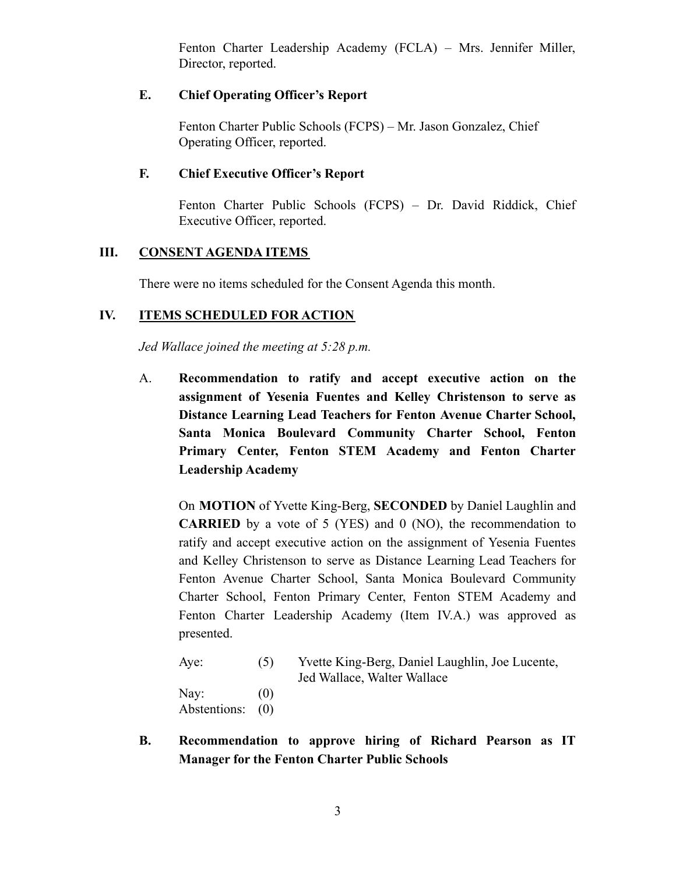Fenton Charter Leadership Academy (FCLA) – Mrs. Jennifer Miller, Director, reported.

## **E. Chief Operating Officer's Report**

Fenton Charter Public Schools (FCPS) – Mr. Jason Gonzalez, Chief Operating Officer, reported.

## **F. Chief Executive Officer's Report**

Fenton Charter Public Schools (FCPS) – Dr. David Riddick, Chief Executive Officer, reported.

## **III. CONSENT AGENDA ITEMS**

There were no items scheduled for the Consent Agenda this month.

## **IV. ITEMS SCHEDULED FOR ACTION**

*Jed Wallace joined the meeting at 5:28 p.m.*

A. **Recommendation to ratify and accept executive action on the assignment of Yesenia Fuentes and Kelley Christenson to serve as Distance Learning Lead Teachers for Fenton Avenue Charter School, Santa Monica Boulevard Community Charter School, Fenton Primary Center, Fenton STEM Academy and Fenton Charter Leadership Academy**

On **MOTION** of Yvette King-Berg, **SECONDED** by Daniel Laughlin and **CARRIED** by a vote of 5 (YES) and 0 (NO), the recommendation to ratify and accept executive action on the assignment of Yesenia Fuentes and Kelley Christenson to serve as Distance Learning Lead Teachers for Fenton Avenue Charter School, Santa Monica Boulevard Community Charter School, Fenton Primary Center, Fenton STEM Academy and Fenton Charter Leadership Academy (Item IV.A.) was approved as presented.

| Aye:         | (5) | Yvette King-Berg, Daniel Laughlin, Joe Lucente, |
|--------------|-----|-------------------------------------------------|
|              |     | Jed Wallace, Walter Wallace                     |
| Nay:         | (0) |                                                 |
| Abstentions: | (0) |                                                 |

**B. Recommendation to approve hiring of Richard Pearson as IT Manager for the Fenton Charter Public Schools**